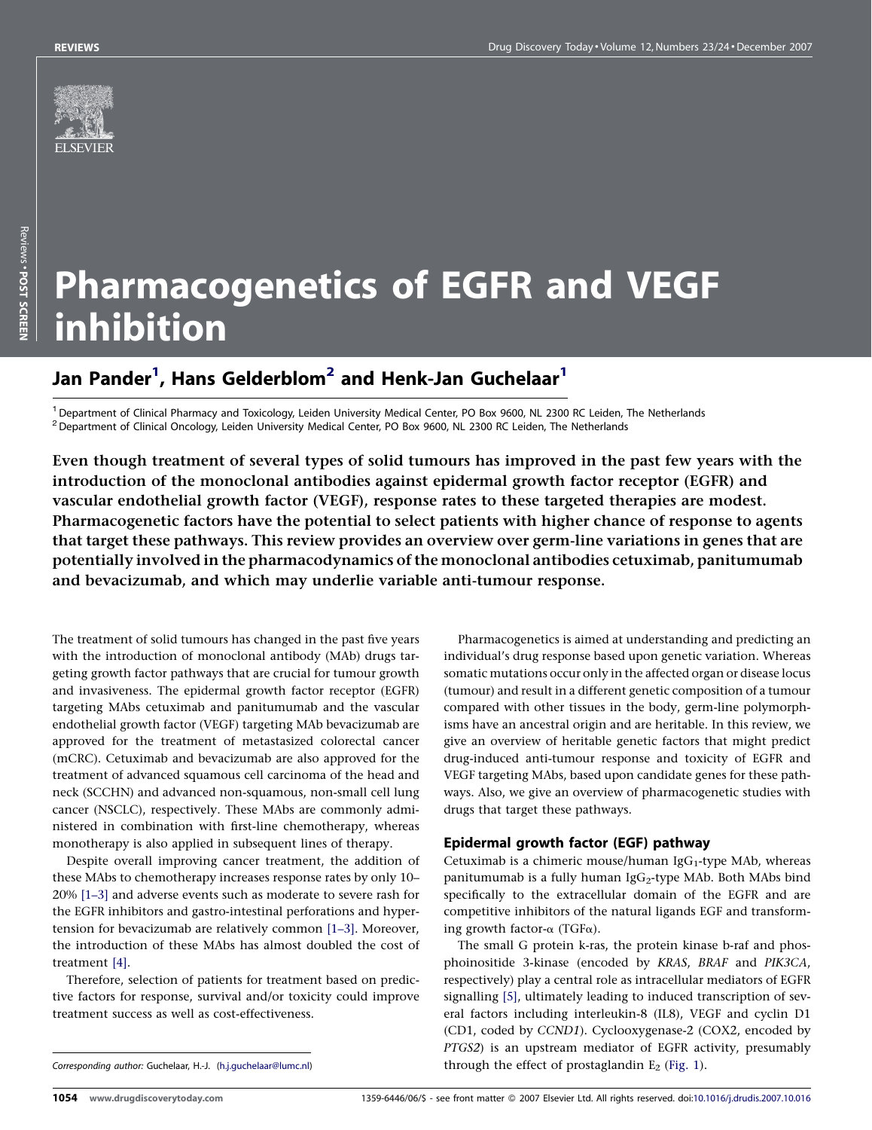

# Pharmacogenetics of EGFR and VEGF inhibition

# Jan Pander<sup>1</sup>, Hans Gelderblom<sup>2</sup> and Henk-Jan Guchelaar<sup>1</sup>

<sup>1</sup> Department of Clinical Pharmacy and Toxicology, Leiden University Medical Center, PO Box 9600, NL 2300 RC Leiden, The Netherlands  $2$  Department of Clinical Oncology, Leiden University Medical Center, PO Box 9600, NL 2300 RC Leiden, The Netherlands

Even though treatment of several types of solid tumours has improved in the past few years with the introduction of the monoclonal antibodies against epidermal growth factor receptor (EGFR) and vascular endothelial growth factor (VEGF), response rates to these targeted therapies are modest. Pharmacogenetic factors have the potential to select patients with higher chance of response to agents that target these pathways. This review provides an overview over germ-line variations in genes that are potentially involved in the pharmacodynamics of the monoclonal antibodies cetuximab, panitumumab and bevacizumab, and which may underlie variable anti-tumour response.

The treatment of solid tumours has changed in the past five years with the introduction of monoclonal antibody (MAb) drugs targeting growth factor pathways that are crucial for tumour growth and invasiveness. The epidermal growth factor receptor (EGFR) targeting MAbs cetuximab and panitumumab and the vascular endothelial growth factor (VEGF) targeting MAb bevacizumab are approved for the treatment of metastasized colorectal cancer (mCRC). Cetuximab and bevacizumab are also approved for the treatment of advanced squamous cell carcinoma of the head and neck (SCCHN) and advanced non-squamous, non-small cell lung cancer (NSCLC), respectively. These MAbs are commonly administered in combination with first-line chemotherapy, whereas monotherapy is also applied in subsequent lines of therapy.

Despite overall improving cancer treatment, the addition of these MAbs to chemotherapy increases response rates by only 10– 20% [\[1–3\]](#page-5-0) and adverse events such as moderate to severe rash for the EGFR inhibitors and gastro-intestinal perforations and hypertension for bevacizumab are relatively common [\[1–3\]](#page-5-0). Moreover, the introduction of these MAbs has almost doubled the cost of treatment [\[4\]](#page-5-0).

Therefore, selection of patients for treatment based on predictive factors for response, survival and/or toxicity could improve treatment success as well as cost-effectiveness.

Pharmacogenetics is aimed at understanding and predicting an individual's drug response based upon genetic variation. Whereas somatic mutations occur only in the affected organ or disease locus (tumour) and result in a different genetic composition of a tumour compared with other tissues in the body, germ-line polymorphisms have an ancestral origin and are heritable. In this review, we give an overview of heritable genetic factors that might predict drug-induced anti-tumour response and toxicity of EGFR and VEGF targeting MAbs, based upon candidate genes for these pathways. Also, we give an overview of pharmacogenetic studies with drugs that target these pathways.

### Epidermal growth factor (EGF) pathway

Cetuximab is a chimeric mouse/human IgG<sub>1</sub>-type MAb, whereas panitumumab is a fully human  $IgG_2$ -type MAb. Both MAbs bind specifically to the extracellular domain of the EGFR and are competitive inhibitors of the natural ligands EGF and transforming growth factor- $\alpha$  (TGF $\alpha$ ).

The small G protein k-ras, the protein kinase b-raf and phosphoinositide 3-kinase (encoded by KRAS, BRAF and PIK3CA, respectively) play a central role as intracellular mediators of EGFR signalling [\[5\],](#page-5-0) ultimately leading to induced transcription of several factors including interleukin-8 (IL8), VEGF and cyclin D1 (CD1, coded by CCND1). Cyclooxygenase-2 (COX2, encoded by PTGS2) is an upstream mediator of EGFR activity, presumably through the effect of prostaglandin  $E_2$  ([Fig. 1\)](#page-1-0).

Corresponding author: Guchelaar, H.-J. [\(h.j.guchelaar@lumc.nl](mailto:h.j.guchelaar@lumc.nl))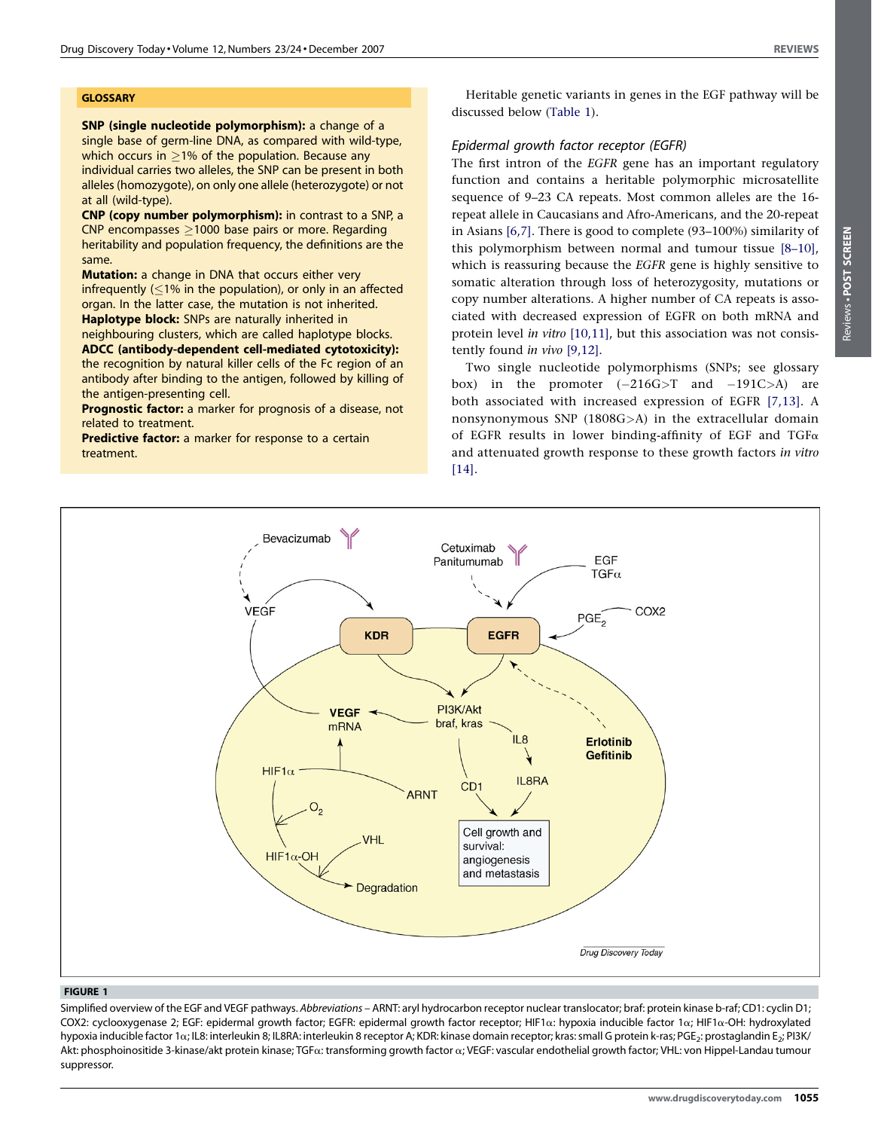#### <span id="page-1-0"></span>**GLOSSARY**

SNP (single nucleotide polymorphism): a change of a single base of germ-line DNA, as compared with wild-type, which occurs in  $\geq$ 1% of the population. Because any individual carries two alleles, the SNP can be present in both alleles (homozygote), on only one allele (heterozygote) or not at all (wild-type).

CNP (copy number polymorphism): in contrast to a SNP, a  $CNP$  encompasses  $>$ 1000 base pairs or more. Regarding heritability and population frequency, the definitions are the same.

**Mutation:** a change in DNA that occurs either very infrequently  $(1\%$  in the population), or only in an affected organ. In the latter case, the mutation is not inherited.

Haplotype block: SNPs are naturally inherited in neighbouring clusters, which are called haplotype blocks.

ADCC (antibody-dependent cell-mediated cytotoxicity): the recognition by natural killer cells of the Fc region of an antibody after binding to the antigen, followed by killing of the antigen-presenting cell.

Prognostic factor: a marker for prognosis of a disease, not related to treatment.

Predictive factor: a marker for response to a certain treatment.

Heritable genetic variants in genes in the EGF pathway will be discussed below [\(Table 1\)](#page-2-0).

# Epidermal growth factor receptor (EGFR)

The first intron of the EGFR gene has an important regulatory function and contains a heritable polymorphic microsatellite sequence of 9–23 CA repeats. Most common alleles are the 16 repeat allele in Caucasians and Afro-Americans, and the 20-repeat in Asians [\[6,7\]](#page-5-0). There is good to complete (93–100%) similarity of this polymorphism between normal and tumour tissue [\[8–10\],](#page-5-0) which is reassuring because the EGFR gene is highly sensitive to somatic alteration through loss of heterozygosity, mutations or copy number alterations. A higher number of CA repeats is associated with decreased expression of EGFR on both mRNA and protein level in vitro [\[10,11\]](#page-5-0), but this association was not consistently found in vivo [\[9,12\].](#page-5-0)

Two single nucleotide polymorphisms (SNPs; see glossary box) in the promoter  $(-216G> T$  and  $-191C> A$ ) are both associated with increased expression of EGFR [\[7,13\]](#page-5-0). A nonsynonymous SNP (1808G>A) in the extracellular domain of EGFR results in lower binding-affinity of EGF and TGF $\alpha$ and attenuated growth response to these growth factors in vitro [\[14\]](#page-5-0).



#### FIGURE 1

Simplified overview of the EGF and VEGF pathways. Abbreviations - ARNT: aryl hydrocarbon receptor nuclear translocator; braf: protein kinase b-raf; CD1: cyclin D1; COX2: cyclooxygenase 2; EGF: epidermal growth factor; EGFR: epidermal growth factor receptor; HIF1a: hypoxia inducible factor 1a; HIF1a-OH: hydroxylated hypoxia inducible factor 1a; IL8: interleukin 8; IL8RA: interleukin 8 receptor A; KDR: kinase domain receptor; kras: small G protein k-ras; PGE<sub>2</sub>: prostaglandin E<sub>2</sub>; PI3K/ Akt: phosphoinositide 3-kinase/akt protein kinase; TGFa: transforming growth factor a; VEGF: vascular endothelial growth factor; VHL: von Hippel-Landau tumour suppressor.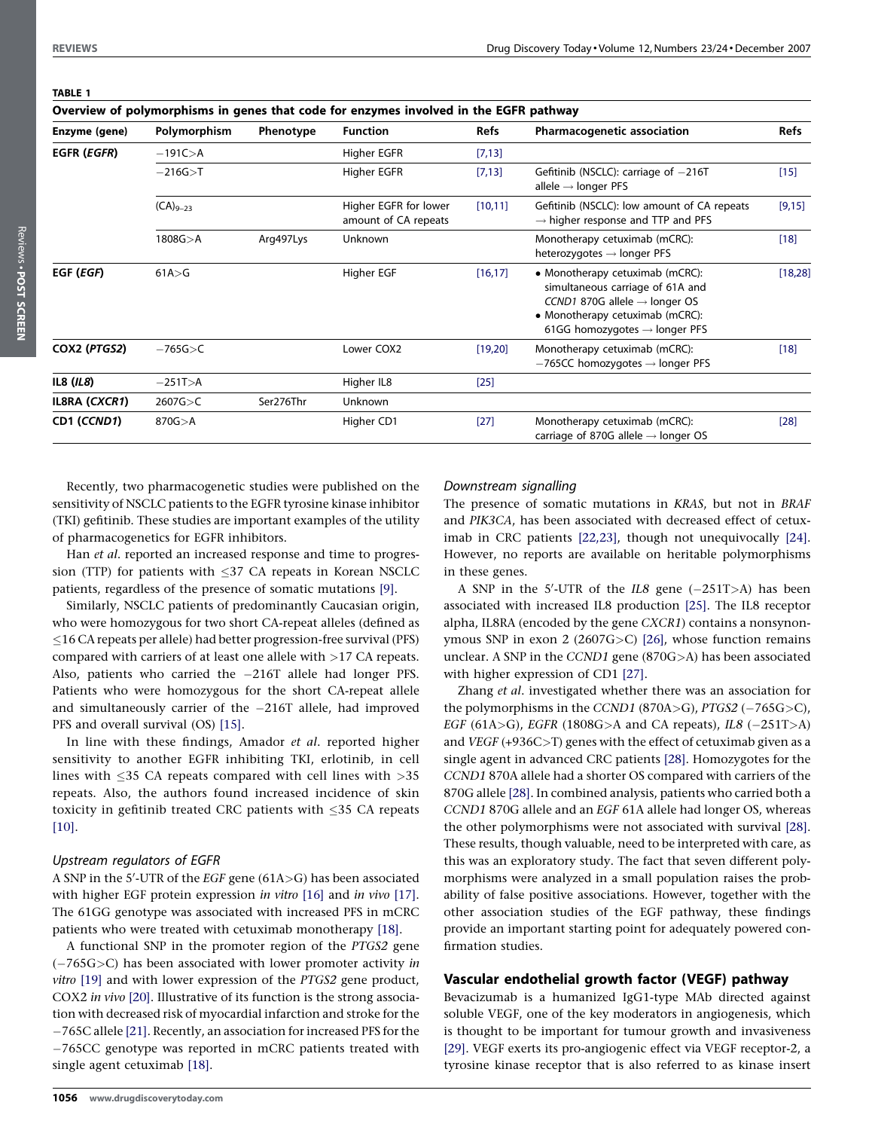<span id="page-2-0"></span>

| TABLE 1 |  |
|---------|--|
| Overvi  |  |

| Overview of polymorphisms in genes that code for enzymes involved in the EGFR pathway |               |           |                                               |          |                                                                                                                                                                                                  |          |
|---------------------------------------------------------------------------------------|---------------|-----------|-----------------------------------------------|----------|--------------------------------------------------------------------------------------------------------------------------------------------------------------------------------------------------|----------|
| Enzyme (gene)                                                                         | Polymorphism  | Phenotype | <b>Function</b>                               | Refs     | <b>Pharmacogenetic association</b>                                                                                                                                                               | Refs     |
| <b>EGFR (EGFR)</b>                                                                    | $-191C > A$   |           | Higher EGFR                                   | [7, 13]  |                                                                                                                                                                                                  |          |
|                                                                                       | $-216G > T$   |           | Higher EGFR                                   | [7, 13]  | Gefitinib (NSCLC): carriage of $-216T$<br>allele $\rightarrow$ longer PFS                                                                                                                        | $[15]$   |
|                                                                                       | $(CA)_{9-23}$ |           | Higher EGFR for lower<br>amount of CA repeats | [10, 11] | Gefitinib (NSCLC): low amount of CA repeats<br>$\rightarrow$ higher response and TTP and PFS                                                                                                     | [9,15]   |
|                                                                                       | 1808G > A     | Arg497Lys | Unknown                                       |          | Monotherapy cetuximab (mCRC):<br>heterozygotes $\rightarrow$ longer PFS                                                                                                                          | $[18]$   |
| EGF (EGF)                                                                             | 61A > G       |           | Higher EGF                                    | [16, 17] | • Monotherapy cetuximab (mCRC):<br>simultaneous carriage of 61A and<br>CCND1 870G allele $\rightarrow$ longer OS<br>• Monotherapy cetuximab (mCRC):<br>61GG homozygotes $\rightarrow$ longer PFS | [18, 28] |
| COX2 (PTGS2)                                                                          | $-765G > C$   |           | Lower COX2                                    | [19,20]  | Monotherapy cetuximab (mCRC):<br>$-765CC$ homozygotes $\rightarrow$ longer PFS                                                                                                                   | $[18]$   |
| IL8 $(IL8)$                                                                           | $-251T > A$   |           | Higher IL8                                    | $[25]$   |                                                                                                                                                                                                  |          |
| <b>IL8RA (CXCR1)</b>                                                                  | 2607G>C       | Ser276Thr | Unknown                                       |          |                                                                                                                                                                                                  |          |
| CD1 (CCND1)                                                                           | 870G > A      |           | Higher CD1                                    | $[27]$   | Monotherapy cetuximab (mCRC):<br>carriage of 870G allele $\rightarrow$ longer OS                                                                                                                 | $[28]$   |

Recently, two pharmacogenetic studies were published on the sensitivity of NSCLC patients to the EGFR tyrosine kinase inhibitor (TKI) gefitinib. These studies are important examples of the utility of pharmacogenetics for EGFR inhibitors.

Han et al. reported an increased response and time to progression (TTP) for patients with  $\leq$ 37 CA repeats in Korean NSCLC patients, regardless of the presence of somatic mutations [\[9\]](#page-5-0).

Similarly, NSCLC patients of predominantly Caucasian origin, who were homozygous for two short CA-repeat alleles (defined as  $\leq$ 16 CA repeats per allele) had better progression-free survival (PFS) compared with carriers of at least one allele with >17 CA repeats. Also, patients who carried the -216T allele had longer PFS. Patients who were homozygous for the short CA-repeat allele and simultaneously carrier of the  $-216T$  allele, had improved PFS and overall survival (OS) [\[15\].](#page-5-0)

In line with these findings, Amador et al. reported higher sensitivity to another EGFR inhibiting TKI, erlotinib, in cell lines with  $\leq$ 35 CA repeats compared with cell lines with  $>$ 35 repeats. Also, the authors found increased incidence of skin toxicity in gefitinib treated CRC patients with  $\leq$ 35 CA repeats [\[10\].](#page-5-0)

#### Upstream regulators of EGFR

A SNP in the 5'-UTR of the EGF gene (61A>G) has been associated with higher EGF protein expression in vitro [\[16\]](#page-5-0) and in vivo [\[17\]](#page-5-0). The 61GG genotype was associated with increased PFS in mCRC patients who were treated with cetuximab monotherapy [\[18\].](#page-5-0)

A functional SNP in the promoter region of the PTGS2 gene  $(-765G>C)$  has been associated with lower promoter activity in vitro [\[19\]](#page-5-0) and with lower expression of the PTGS2 gene product, COX2 in vivo [\[20\].](#page-5-0) Illustrative of its function is the strong association with decreased risk of myocardial infarction and stroke for the 765C allele [\[21\]](#page-5-0). Recently, an association for increased PFS for the 765CC genotype was reported in mCRC patients treated with single agent cetuximab [\[18\]](#page-5-0).

#### Downstream signalling

The presence of somatic mutations in KRAS, but not in BRAF and PIK3CA, has been associated with decreased effect of cetuximab in CRC patients [\[22,23\],](#page-5-0) though not unequivocally [\[24\]](#page-5-0). However, no reports are available on heritable polymorphisms in these genes.

A SNP in the 5'-UTR of the  $IL8$  gene  $(-251T> A)$  has been associated with increased IL8 production [\[25\].](#page-5-0) The IL8 receptor alpha, IL8RA (encoded by the gene CXCR1) contains a nonsynonymous SNP in exon 2 (2607G>C) [\[26\],](#page-5-0) whose function remains unclear. A SNP in the CCND1 gene (870G>A) has been associated with higher expression of CD1 [\[27\].](#page-5-0)

Zhang et al. investigated whether there was an association for the polymorphisms in the CCND1 (870A>G),  $PTGS2$  (-765G>C), EGF (61A>G), EGFR (1808G>A and CA repeats),  $IL8$  (-251T>A) and  $VEGF (+936C>T)$  genes with the effect of cetuximab given as a single agent in advanced CRC patients [\[28\].](#page-5-0) Homozygotes for the CCND1 870A allele had a shorter OS compared with carriers of the 870G allele [\[28\].](#page-5-0) In combined analysis, patients who carried both a CCND1 870G allele and an EGF 61A allele had longer OS, whereas the other polymorphisms were not associated with survival [\[28\]](#page-5-0). These results, though valuable, need to be interpreted with care, as this was an exploratory study. The fact that seven different polymorphisms were analyzed in a small population raises the probability of false positive associations. However, together with the other association studies of the EGF pathway, these findings provide an important starting point for adequately powered confirmation studies.

# Vascular endothelial growth factor (VEGF) pathway

Bevacizumab is a humanized IgG1-type MAb directed against soluble VEGF, one of the key moderators in angiogenesis, which is thought to be important for tumour growth and invasiveness [\[29\]](#page-5-0). VEGF exerts its pro-angiogenic effect via VEGF receptor-2, a tyrosine kinase receptor that is also referred to as kinase insert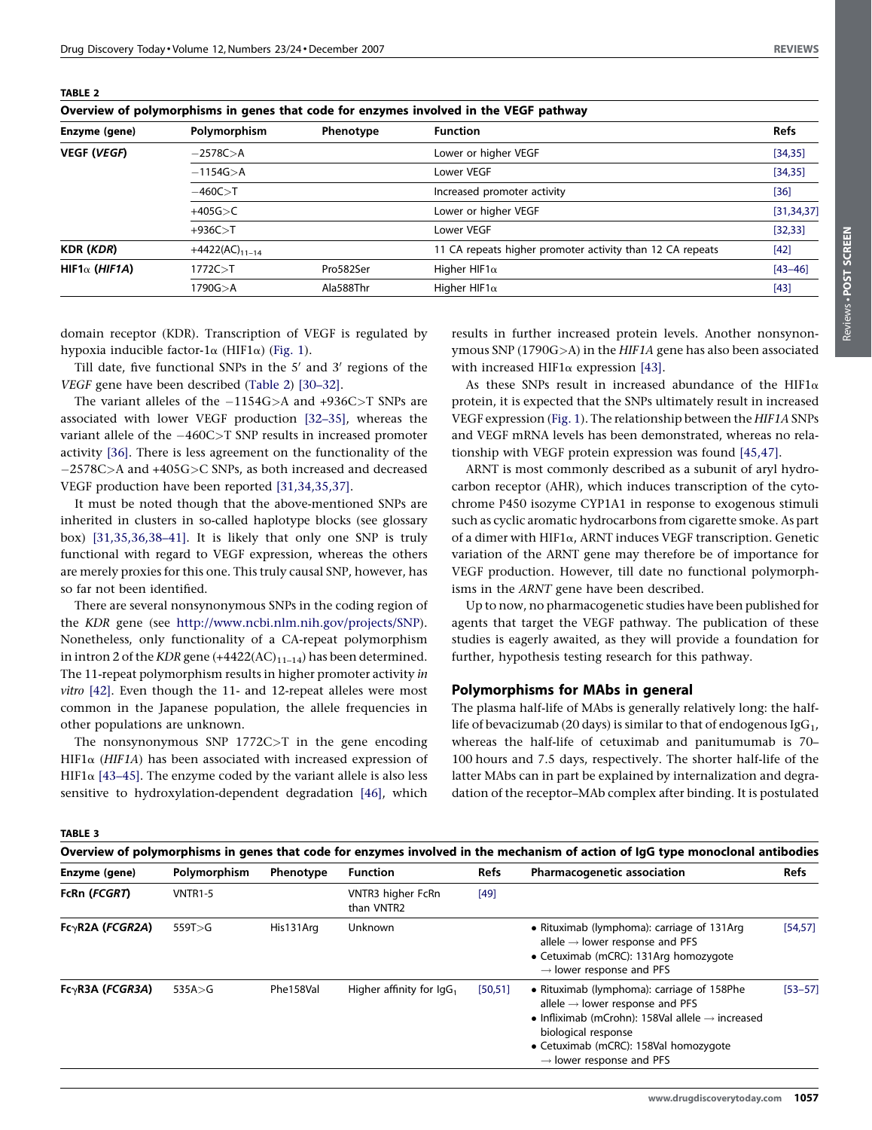| Overview of polymorphisms in genes that code for enzymes involved in the VEGF pathway |                           |           |                                                           |              |  |
|---------------------------------------------------------------------------------------|---------------------------|-----------|-----------------------------------------------------------|--------------|--|
| Enzyme (gene)                                                                         | Polymorphism<br>Phenotype |           | <b>Function</b>                                           | <b>Refs</b>  |  |
| <b>VEGF (VEGF)</b>                                                                    | $-2578C > A$              |           | Lower or higher VEGF                                      | [34, 35]     |  |
|                                                                                       | $-1154G > A$              |           | Lower VEGF                                                | [34, 35]     |  |
|                                                                                       | $-460C > T$               |           | Increased promoter activity                               | $[36]$       |  |
|                                                                                       | $+405G > C$               |           | Lower or higher VEGF                                      | [31, 34, 37] |  |
|                                                                                       | $+936C > T$               |           | Lower VEGF                                                | [32, 33]     |  |
| <b>KDR (KDR)</b>                                                                      | $+4422(AC)_{11-14}$       |           | 11 CA repeats higher promoter activity than 12 CA repeats | $[42]$       |  |
| HIF1 $\alpha$ (HIF1A)                                                                 | 1772C > T                 | Pro582Ser | Higher HIF1 $\alpha$                                      | $[43 - 46]$  |  |
|                                                                                       | 1790G>A                   | Ala588Thr | Higher HIF1 $\alpha$                                      | $[43]$       |  |
|                                                                                       |                           |           |                                                           |              |  |

<span id="page-3-0"></span>TABLE 2

domain receptor (KDR). Transcription of VEGF is regulated by hypoxia inducible factor-1 $\alpha$  (HIF1 $\alpha$ ) [\(Fig. 1\)](#page-1-0).

Till date, five functional SNPs in the  $5'$  and  $3'$  regions of the VEGF gene have been described (Table 2) [\[30–32\]](#page-5-0).

The variant alleles of the  $-1154G>A$  and  $+936C>T$  SNPs are associated with lower VEGF production [\[32–35\]](#page-5-0), whereas the variant allele of the  $-460C>T$  SNP results in increased promoter activity [\[36\]](#page-5-0). There is less agreement on the functionality of the 2578C>A and +405G>C SNPs, as both increased and decreased VEGF production have been reported [\[31,34,35,37\]](#page-5-0).

It must be noted though that the above-mentioned SNPs are inherited in clusters in so-called haplotype blocks (see glossary box) [\[31,35,36,38–41\].](#page-5-0) It is likely that only one SNP is truly functional with regard to VEGF expression, whereas the others are merely proxies for this one. This truly causal SNP, however, has so far not been identified.

There are several nonsynonymous SNPs in the coding region of the KDR gene (see [http://www.ncbi.nlm.nih.gov/projects/SNP\)](http://www.ncbi.nlm.nih.gov/projects/SNP). Nonetheless, only functionality of a CA-repeat polymorphism in intron 2 of the KDR gene  $(+4422(AC)_{11-14})$  has been determined. The 11-repeat polymorphism results in higher promoter activity in vitro [\[42\]](#page-6-0). Even though the 11- and 12-repeat alleles were most common in the Japanese population, the allele frequencies in other populations are unknown.

The nonsynonymous SNP 1772C>T in the gene encoding HIF1 $\alpha$  (HIF1A) has been associated with increased expression of HIF1 $\alpha$  [\[43–45\]](#page-6-0). The enzyme coded by the variant allele is also less sensitive to hydroxylation-dependent degradation [\[46\],](#page-6-0) which

results in further increased protein levels. Another nonsynonymous SNP (1790G>A) in the HIF1A gene has also been associated with increased HIF1 $\alpha$  expression [\[43\]](#page-6-0).

As these SNPs result in increased abundance of the HIF1 $\alpha$ protein, it is expected that the SNPs ultimately result in increased VEGF expression [\(Fig. 1](#page-1-0)). The relationship between the HIF1A SNPs and VEGF mRNA levels has been demonstrated, whereas no relationship with VEGF protein expression was found [\[45,47\]](#page-6-0).

ARNT is most commonly described as a subunit of aryl hydrocarbon receptor (AHR), which induces transcription of the cytochrome P450 isozyme CYP1A1 in response to exogenous stimuli such as cyclic aromatic hydrocarbons from cigarette smoke. As part of a dimer with HIF1a, ARNT induces VEGF transcription. Genetic variation of the ARNT gene may therefore be of importance for VEGF production. However, till date no functional polymorphisms in the ARNT gene have been described.

Up to now, no pharmacogenetic studies have been published for agents that target the VEGF pathway. The publication of these studies is eagerly awaited, as they will provide a foundation for further, hypothesis testing research for this pathway.

# Polymorphisms for MAbs in general

The plasma half-life of MAbs is generally relatively long: the halflife of bevacizumab (20 days) is similar to that of endogenous  $\lg G_1$ , whereas the half-life of cetuximab and panitumumab is 70– 100 hours and 7.5 days, respectively. The shorter half-life of the latter MAbs can in part be explained by internalization and degradation of the receptor–MAb complex after binding. It is postulated

TABLE 3

| Overview of polymorphisms in genes that code for enzymes involved in the mechanism of action of IgG type monoclonal antibodies |                |           |                                 |             |                                                                                                                                                                                                                                                                   |             |
|--------------------------------------------------------------------------------------------------------------------------------|----------------|-----------|---------------------------------|-------------|-------------------------------------------------------------------------------------------------------------------------------------------------------------------------------------------------------------------------------------------------------------------|-------------|
| Enzyme (gene)                                                                                                                  | Polymorphism   | Phenotype | <b>Function</b>                 | <b>Refs</b> | <b>Pharmacogenetic association</b>                                                                                                                                                                                                                                | <b>Refs</b> |
| FcRn (FCGRT)                                                                                                                   | <b>VNTR1-5</b> |           | VNTR3 higher FcRn<br>than VNTR2 | $[49]$      |                                                                                                                                                                                                                                                                   |             |
| $Fc\gamma R2A$ ( <i>FCGR2A</i> )                                                                                               | 559T > G       | His131Arg | Unknown                         |             | • Rituximab (lymphoma): carriage of 131Arg<br>allele $\rightarrow$ lower response and PFS<br>• Cetuximab (mCRC): 131Arg homozygote<br>$\rightarrow$ lower response and PFS                                                                                        | [54, 57]    |
| $Fc\gamma R3A$ ( <i>FCGR3A</i> )                                                                                               | 535A > G       | Phe158Val | Higher affinity for $\lg G_1$   | [50, 51]    | • Rituximab (lymphoma): carriage of 158Phe<br>allele $\rightarrow$ lower response and PFS<br>• Infliximab (mCrohn): 158Val allele $\rightarrow$ increased<br>biological response<br>• Cetuximab (mCRC): 158Val homozygote<br>$\rightarrow$ lower response and PFS | $[53 - 57]$ |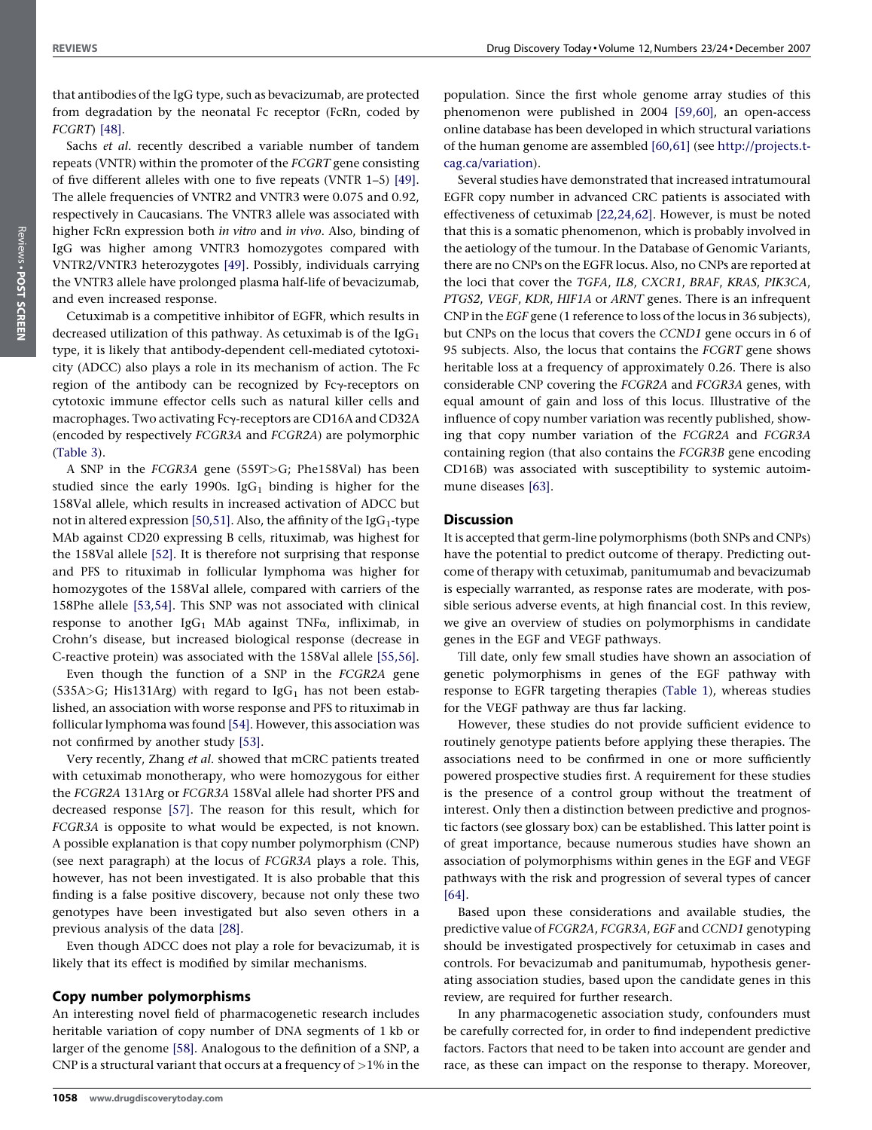that antibodies of the IgG type, such as bevacizumab, are protected from degradation by the neonatal Fc receptor (FcRn, coded by FCGRT) [\[48\].](#page-6-0)

Sachs et al. recently described a variable number of tandem repeats (VNTR) within the promoter of the FCGRT gene consisting of five different alleles with one to five repeats (VNTR 1–5) [\[49\]](#page-6-0). The allele frequencies of VNTR2 and VNTR3 were 0.075 and 0.92, respectively in Caucasians. The VNTR3 allele was associated with higher FcRn expression both in vitro and in vivo. Also, binding of IgG was higher among VNTR3 homozygotes compared with VNTR2/VNTR3 heterozygotes [\[49\].](#page-6-0) Possibly, individuals carrying the VNTR3 allele have prolonged plasma half-life of bevacizumab, and even increased response.

Cetuximab is a competitive inhibitor of EGFR, which results in decreased utilization of this pathway. As cetuximab is of the  $\lg G_1$ type, it is likely that antibody-dependent cell-mediated cytotoxicity (ADCC) also plays a role in its mechanism of action. The Fc region of the antibody can be recognized by Fcy-receptors on cytotoxic immune effector cells such as natural killer cells and macrophages. Two activating Fcy-receptors are CD16A and CD32A (encoded by respectively FCGR3A and FCGR2A) are polymorphic ([Table 3\)](#page-3-0).

A SNP in the FCGR3A gene (559T>G; Phe158Val) has been studied since the early 1990s. Ig $G_1$  binding is higher for the 158Val allele, which results in increased activation of ADCC but not in altered expression [\[50,51\]](#page-6-0). Also, the affinity of the IgG<sub>1</sub>-type MAb against CD20 expressing B cells, rituximab, was highest for the 158Val allele [\[52\].](#page-6-0) It is therefore not surprising that response and PFS to rituximab in follicular lymphoma was higher for homozygotes of the 158Val allele, compared with carriers of the 158Phe allele [\[53,54\]](#page-6-0). This SNP was not associated with clinical response to another IgG<sub>1</sub> MAb against TNF $\alpha$ , infliximab, in Crohn's disease, but increased biological response (decrease in C-reactive protein) was associated with the 158Val allele [\[55,56\]](#page-6-0).

Even though the function of a SNP in the FCGR2A gene  $(535A>G; His131Arg)$  with regard to IgG<sub>1</sub> has not been established, an association with worse response and PFS to rituximab in follicular lymphoma was found [\[54\].](#page-6-0) However, this association was not confirmed by another study [\[53\]](#page-6-0).

Very recently, Zhang et al. showed that mCRC patients treated with cetuximab monotherapy, who were homozygous for either the FCGR2A 131Arg or FCGR3A 158Val allele had shorter PFS and decreased response [\[57\].](#page-6-0) The reason for this result, which for FCGR3A is opposite to what would be expected, is not known. A possible explanation is that copy number polymorphism (CNP) (see next paragraph) at the locus of FCGR3A plays a role. This, however, has not been investigated. It is also probable that this finding is a false positive discovery, because not only these two genotypes have been investigated but also seven others in a previous analysis of the data [\[28\].](#page-5-0)

Even though ADCC does not play a role for bevacizumab, it is likely that its effect is modified by similar mechanisms.

# Copy number polymorphisms

An interesting novel field of pharmacogenetic research includes heritable variation of copy number of DNA segments of 1 kb or larger of the genome [\[58\].](#page-6-0) Analogous to the definition of a SNP, a CNP is a structural variant that occurs at a frequency of  $>1\%$  in the

population. Since the first whole genome array studies of this phenomenon were published in 2004 [\[59,60\],](#page-6-0) an open-access online database has been developed in which structural variations of the human genome are assembled [\[60,61\]](#page-6-0) (see [http://projects.t](http://projects.tcag.ca/variation)[cag.ca/variation\)](http://projects.tcag.ca/variation).

Several studies have demonstrated that increased intratumoural EGFR copy number in advanced CRC patients is associated with effectiveness of cetuximab [\[22,24,62\].](#page-5-0) However, is must be noted that this is a somatic phenomenon, which is probably involved in the aetiology of the tumour. In the Database of Genomic Variants, there are no CNPs on the EGFR locus. Also, no CNPs are reported at the loci that cover the TGFA, IL8, CXCR1, BRAF, KRAS, PIK3CA, PTGS2, VEGF, KDR, HIF1A or ARNT genes. There is an infrequent CNP in the EGF gene (1 reference to loss of the locus in 36 subjects), but CNPs on the locus that covers the CCND1 gene occurs in 6 of 95 subjects. Also, the locus that contains the FCGRT gene shows heritable loss at a frequency of approximately 0.26. There is also considerable CNP covering the FCGR2A and FCGR3A genes, with equal amount of gain and loss of this locus. Illustrative of the influence of copy number variation was recently published, showing that copy number variation of the FCGR2A and FCGR3A containing region (that also contains the FCGR3B gene encoding CD16B) was associated with susceptibility to systemic autoimmune diseases [\[63\].](#page-6-0)

# **Discussion**

It is accepted that germ-line polymorphisms (both SNPs and CNPs) have the potential to predict outcome of therapy. Predicting outcome of therapy with cetuximab, panitumumab and bevacizumab is especially warranted, as response rates are moderate, with possible serious adverse events, at high financial cost. In this review, we give an overview of studies on polymorphisms in candidate genes in the EGF and VEGF pathways.

Till date, only few small studies have shown an association of genetic polymorphisms in genes of the EGF pathway with response to EGFR targeting therapies [\(Table 1](#page-2-0)), whereas studies for the VEGF pathway are thus far lacking.

However, these studies do not provide sufficient evidence to routinely genotype patients before applying these therapies. The associations need to be confirmed in one or more sufficiently powered prospective studies first. A requirement for these studies is the presence of a control group without the treatment of interest. Only then a distinction between predictive and prognostic factors (see glossary box) can be established. This latter point is of great importance, because numerous studies have shown an association of polymorphisms within genes in the EGF and VEGF pathways with the risk and progression of several types of cancer [\[64\]](#page-6-0).

Based upon these considerations and available studies, the predictive value of FCGR2A, FCGR3A, EGF and CCND1 genotyping should be investigated prospectively for cetuximab in cases and controls. For bevacizumab and panitumumab, hypothesis generating association studies, based upon the candidate genes in this review, are required for further research.

In any pharmacogenetic association study, confounders must be carefully corrected for, in order to find independent predictive factors. Factors that need to be taken into account are gender and race, as these can impact on the response to therapy. Moreover,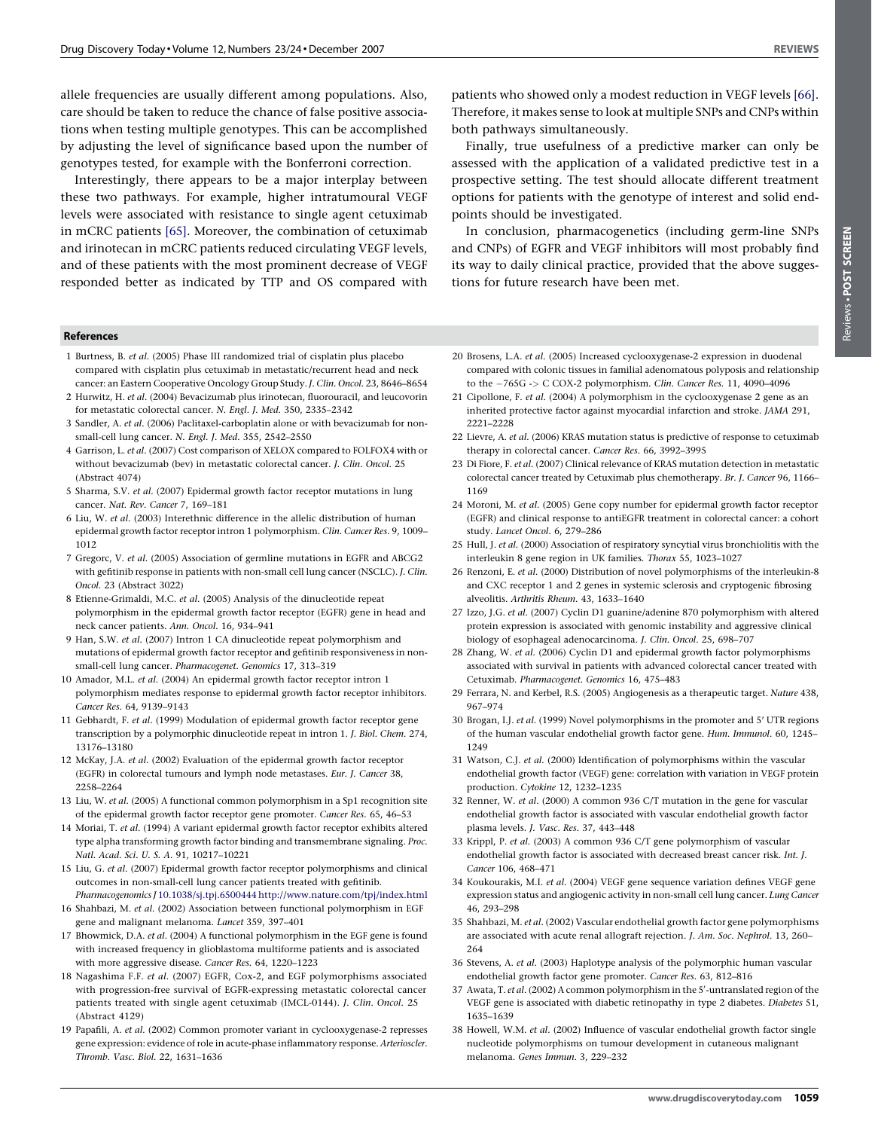<span id="page-5-0"></span>allele frequencies are usually different among populations. Also, care should be taken to reduce the chance of false positive associations when testing multiple genotypes. This can be accomplished by adjusting the level of significance based upon the number of genotypes tested, for example with the Bonferroni correction.

Interestingly, there appears to be a major interplay between these two pathways. For example, higher intratumoural VEGF levels were associated with resistance to single agent cetuximab in mCRC patients [\[65\]](#page-6-0). Moreover, the combination of cetuximab and irinotecan in mCRC patients reduced circulating VEGF levels, and of these patients with the most prominent decrease of VEGF responded better as indicated by TTP and OS compared with

#### References

- 1 Burtness, B. et al. (2005) Phase III randomized trial of cisplatin plus placebo compared with cisplatin plus cetuximab in metastatic/recurrent head and neck cancer: an Eastern Cooperative Oncology Group Study. J. Clin. Oncol. 23, 8646–8654
- 2 Hurwitz, H. et al. (2004) Bevacizumab plus irinotecan, fluorouracil, and leucovorin for metastatic colorectal cancer. N. Engl. J. Med. 350, 2335–2342
- 3 Sandler, A. et al. (2006) Paclitaxel-carboplatin alone or with bevacizumab for nonsmall-cell lung cancer. N. Engl. J. Med. 355, 2542–2550
- 4 Garrison, L. et al. (2007) Cost comparison of XELOX compared to FOLFOX4 with or without bevacizumab (bev) in metastatic colorectal cancer. J. Clin. Oncol. 25 (Abstract 4074)
- 5 Sharma, S.V. et al. (2007) Epidermal growth factor receptor mutations in lung cancer. Nat. Rev. Cancer 7, 169–181
- 6 Liu, W. et al. (2003) Interethnic difference in the allelic distribution of human epidermal growth factor receptor intron 1 polymorphism. Clin. Cancer Res. 9, 1009– 1012
- 7 Gregorc, V. et al. (2005) Association of germline mutations in EGFR and ABCG2 with gefitinib response in patients with non-small cell lung cancer (NSCLC). *J. Clin.* Oncol. 23 (Abstract 3022)
- 8 Etienne-Grimaldi, M.C. et al. (2005) Analysis of the dinucleotide repeat polymorphism in the epidermal growth factor receptor (EGFR) gene in head and neck cancer patients. Ann. Oncol. 16, 934–941
- 9 Han, S.W. et al. (2007) Intron 1 CA dinucleotide repeat polymorphism and mutations of epidermal growth factor receptor and gefitinib responsiveness in nonsmall-cell lung cancer. Pharmacogenet. Genomics 17, 313–319
- 10 Amador, M.L. et al. (2004) An epidermal growth factor receptor intron 1 polymorphism mediates response to epidermal growth factor receptor inhibitors. Cancer Res. 64, 9139–9143
- 11 Gebhardt, F. et al. (1999) Modulation of epidermal growth factor receptor gene transcription by a polymorphic dinucleotide repeat in intron 1. J. Biol. Chem. 274, 13176–13180
- 12 McKay, J.A. et al. (2002) Evaluation of the epidermal growth factor receptor (EGFR) in colorectal tumours and lymph node metastases. Eur. J. Cancer 38, 2258–2264
- 13 Liu, W. et al. (2005) A functional common polymorphism in a Sp1 recognition site of the epidermal growth factor receptor gene promoter. Cancer Res. 65, 46–53
- 14 Moriai, T. et al. (1994) A variant epidermal growth factor receptor exhibits altered type alpha transforming growth factor binding and transmembrane signaling. Proc. Natl. Acad. Sci. U. S. A. 91, 10217–10221
- 15 Liu, G. et al. (2007) Epidermal growth factor receptor polymorphisms and clinical outcomes in non-small-cell lung cancer patients treated with gefitinib. Pharmacogenomics J [10.1038/sj.tpj.6500444](http://dx.doi.org/10.1038/sj.tpj.6500444)<http://www.nature.com/tpj/index.html>
- 16 Shahbazi, M. et al. (2002) Association between functional polymorphism in EGF gene and malignant melanoma. Lancet 359, 397–401
- 17 Bhowmick, D.A. et al. (2004) A functional polymorphism in the EGF gene is found with increased frequency in glioblastoma multiforme patients and is associated with more aggressive disease. Cancer Res. 64, 1220–1223
- 18 Nagashima F.F. et al. (2007) EGFR, Cox-2, and EGF polymorphisms associated with progression-free survival of EGFR-expressing metastatic colorectal cancer patients treated with single agent cetuximab (IMCL-0144). J. Clin. Oncol. 25 (Abstract 4129)
- 19 Papafili, A. et al. (2002) Common promoter variant in cyclooxygenase-2 represses gene expression: evidence of role in acute-phase inflammatory response. Arterioscler. Thromb. Vasc. Biol. 22, 1631–1636

patients who showed only a modest reduction in VEGF levels [\[66\].](#page-6-0) Therefore, it makes sense to look at multiple SNPs and CNPs within both pathways simultaneously.

Finally, true usefulness of a predictive marker can only be assessed with the application of a validated predictive test in a prospective setting. The test should allocate different treatment options for patients with the genotype of interest and solid endpoints should be investigated.

In conclusion, pharmacogenetics (including germ-line SNPs and CNPs) of EGFR and VEGF inhibitors will most probably find its way to daily clinical practice, provided that the above suggestions for future research have been met.

- POST SCREENReviews. POST SCREEN Reviews -
- 20 Brosens, L.A. et al. (2005) Increased cyclooxygenase-2 expression in duodenal compared with colonic tissues in familial adenomatous polyposis and relationship to the  $-765G$  -> C COX-2 polymorphism. Clin. Cancer Res. 11, 4090-4096
- 21 Cipollone, F. et al. (2004) A polymorphism in the cyclooxygenase 2 gene as an inherited protective factor against myocardial infarction and stroke. JAMA 291, 2221–2228
- 22 Lievre, A. et al. (2006) KRAS mutation status is predictive of response to cetuximab therapy in colorectal cancer. Cancer Res. 66, 3992–3995
- 23 Di Fiore, F. et al. (2007) Clinical relevance of KRAS mutation detection in metastatic colorectal cancer treated by Cetuximab plus chemotherapy. Br. J. Cancer 96, 1166– 1169
- 24 Moroni, M. et al. (2005) Gene copy number for epidermal growth factor receptor (EGFR) and clinical response to antiEGFR treatment in colorectal cancer: a cohort study. Lancet Oncol. 6, 279–286
- 25 Hull, J. et al. (2000) Association of respiratory syncytial virus bronchiolitis with the interleukin 8 gene region in UK families. Thorax 55, 1023–1027
- 26 Renzoni, E. et al. (2000) Distribution of novel polymorphisms of the interleukin-8 and CXC receptor 1 and 2 genes in systemic sclerosis and cryptogenic fibrosing alveolitis. Arthritis Rheum. 43, 1633–1640
- 27 Izzo, J.G. et al. (2007) Cyclin D1 guanine/adenine 870 polymorphism with altered protein expression is associated with genomic instability and aggressive clinical biology of esophageal adenocarcinoma. J. Clin. Oncol. 25, 698–707
- 28 Zhang, W. et al. (2006) Cyclin D1 and epidermal growth factor polymorphisms associated with survival in patients with advanced colorectal cancer treated with Cetuximab. Pharmacogenet. Genomics 16, 475–483
- 29 Ferrara, N. and Kerbel, R.S. (2005) Angiogenesis as a therapeutic target. Nature 438, 967–974
- 30 Brogan, I.J. et al. (1999) Novel polymorphisms in the promoter and 5' UTR regions of the human vascular endothelial growth factor gene. Hum. Immunol. 60, 1245– 1249
- 31 Watson, C.J. et al. (2000) Identification of polymorphisms within the vascular endothelial growth factor (VEGF) gene: correlation with variation in VEGF protein production. Cytokine 12, 1232–1235
- 32 Renner, W. et al. (2000) A common 936 C/T mutation in the gene for vascular endothelial growth factor is associated with vascular endothelial growth factor plasma levels. J. Vasc. Res. 37, 443–448
- 33 Krippl, P. et al. (2003) A common 936 C/T gene polymorphism of vascular endothelial growth factor is associated with decreased breast cancer risk. Int. J. Cancer 106, 468–471
- 34 Koukourakis, M.I. et al. (2004) VEGF gene sequence variation defines VEGF gene expression status and angiogenic activity in non-small cell lung cancer. Lung Cancer 46, 293–298
- 35 Shahbazi, M. et al. (2002) Vascular endothelial growth factor gene polymorphisms are associated with acute renal allograft rejection. J. Am. Soc. Nephrol. 13, 260– 264
- 36 Stevens, A. et al. (2003) Haplotype analysis of the polymorphic human vascular endothelial growth factor gene promoter. Cancer Res. 63, 812–816
- 37 Awata, T. et al. (2002) A common polymorphism in the 5'-untranslated region of the VEGF gene is associated with diabetic retinopathy in type 2 diabetes. Diabetes 51, 1635–1639
- 38 Howell, W.M. et al. (2002) Influence of vascular endothelial growth factor single nucleotide polymorphisms on tumour development in cutaneous malignant melanoma. Genes Immun. 3, 229–232